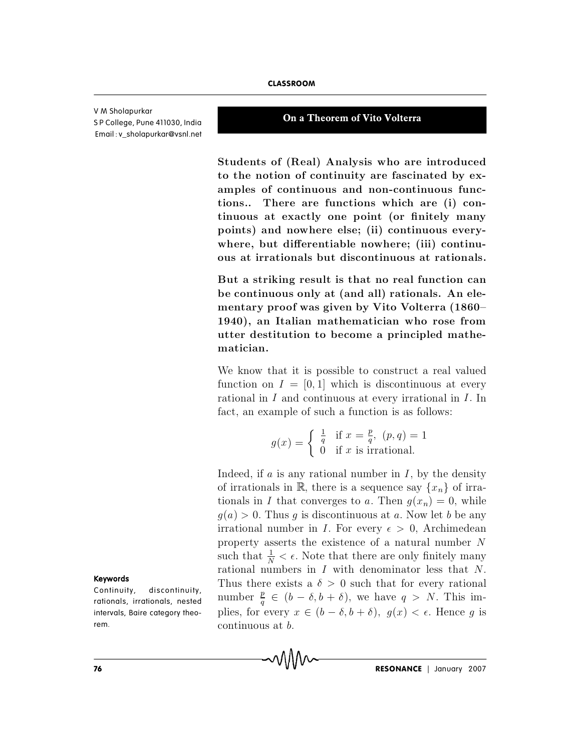V M Sholapurkar S P College, Pune 411030, India Email : [v\\_sholapurkar@vsnl.net](mailto:v_sholapurkar@vsnl.net)

## **On a Theorem of Vito Volterra**

**CLASSROOM**<br> **On a Theorem of Vito Volterra**<br>
Students of (Real) Analysis who are introduced **the experiment of the Vito Volterra**<br>**Students of (Real) Analysis who are introduced<br>to the notion of continuity are fascinated by ex-On a Theorem of Vito Volterra<br>Students of (Real) Analysis who are introduced<br>to the notion of continuity are fascinated by ex-<br>amples of continuous and non-continuous func-On a Theorem of Vito Volterra**<br>
Students of (Real) Analysis who are introduced<br>
to the notion of continuity are fascinated by ex-<br>
amples of continuous and non-continuous func-<br>
tions... There are functions which are (i) Students of (Real) Analysis who are introduced<br>to the notion of continuity are fascinated by ex-<br>amples of continuous and non-continuous func-<br>tions... There are functions which are (i) con-<br>tinuous at exactly one point (o Students of (Real) Analysis who are introduced<br>to the notion of continuity are fascinated by ex-<br>amples of continuous and non-continuous func-<br>tions... There are functions which are (i) con-<br>tinuous at exactly one point (o Students of (Real) Analysis who are introduced<br>to the notion of continuity are fascinated by ex-<br>amples of continuous and non-continuous func-<br>tions... There are functions which are (i) con-<br>tinuous at exactly one point (o to the notion of continuity are fascinated by ex-<br>amples of continuous and non-continuous func-<br>tions.. There are functions which are (i) con-<br>tinuous at exactly one point (or finitely many<br>points) and nowhere else; (ii) c amples of continuous and non-continuous func-<br>tions.. There are functions which are (i) con-<br>tinuous at exactly one point (or finitely many<br>points) and nowhere else; (ii) continuous every-<br>where, but differentiable nowhere **b** e tin tin are the constitutions. There are functions which are (i) continuous at exactly one point (or finitely many points) and nowhere else; (ii) continuous everywhere, but differentiable nowhere; (iii) continuous at rinuous at exactly one point (or finitely many<br>points) and nowhere else; (ii) continuous every-<br>where, but differentiable nowhere; (iii) continu-<br>ous at irrationals but discontinuous at rationals.<br>But a striking result is

points) and nownere eise; (ii) continuous every-<br>where, but differentiable nowhere; (iii) continu-<br>ous at irrationals but discontinuous at rationals.<br>But a striking result is that no real function can<br>be continuous only at where, but differentiable nowhere; (iii) continuous<br>ous at irrationals but discontinuous at rationals.<br>But a striking result is that no real function can<br>be continuous only at (and all) rationals. An ele-<br>mentary proof was ous at irrationals but discontinuous at rationals.<br>But a striking result is that no real function can<br>be continuous only at (and all) rationals. An ele-<br>mentary proof was given by Vito Volterra (1860–<br>1940), an Italian mat But a striking result is that no real lunction can<br>be continuous only at (and all) rationals. An ele-<br>mentary proof was given by Vito Volterra (1860–<br>1940), an Italian mathematician who rose from<br>utter destitution to becom be continuous only at (and an) rationals. An elementary proof was given by Vito Volterra (1860–1940), an Italian mathematician who rose from utter destitution to become a principled mathematician.<br>We know that it is possi mentary proof was given by vito volterra (1860–1940), an Italian mathematician who rose from<br>utter destitution to become a principled mathe-<br>matician.<br>We know that it is possible to construct a real valued<br>function on  $I =$ 

We know that it is possible to construct a real valued<br>function on  $I = [0, 1]$  which is discontinuous at every<br>rational in I and continuous at every irrational in I. In hat it is possible to construct a real  $I = [0, 1]$  which is discontinuous at <br>*I* and continuous at every irrational in<br>ample of such a function is as follows:<br> $g(x) = \begin{cases} \frac{1}{q} & \text{if } x = \frac{p}{q}, (p, q) = 1 \end{cases}$ bossible to construct a rea<br>
il which is discontinuous at<br>
tinuous at every irrational<br>
uch a function is as follows<br>  $\frac{1}{q}$  if  $x = \frac{p}{q}$ ,  $(p, q) = 1$ <br>
0 if x is irrational. function on  $I = [0, 1]$  which is discontinuous at every<br>rational in  $I$  and continuous at every irrational in  $I$ . In<br>fact, an example of such a function is as follows:<br> $g(x) = \begin{cases} \frac{1}{q} & \text{if } x = \frac{p}{q}, (p, q) = 1 \\ 0 & \text{if } x \text{$ 

$$
g(x) = \begin{cases} \frac{1}{q} & \text{if } x = \frac{p}{q}, (p, q) = 1\\ 0 & \text{if } x \text{ is irrational.} \end{cases}
$$

rational in *I* and continuous at every irrational in *I*. In<br>fact, an example of such a function is as follows:<br> $g(x) = \begin{cases} \frac{1}{q} & \text{if } x = \frac{p}{q}, (p,q) = 1 \\ 0 & \text{if } x \text{ is irrational.} \end{cases}$ <br>Indeed, if *a* is any rational number in *I*, fact, an example of such a function is as follows:<br>  $g(x) = \begin{cases} \frac{1}{q} & \text{if } x = \frac{p}{q}, (p, q) = 1 \\ 0 & \text{if } x \text{ is irrational.} \end{cases}$ <br>
Indeed, if a is any rational number in I, by the density<br>
of irrationals in R, there is a sequence say  $g(x) = \begin{cases} \frac{1}{q} & \text{if } x = \frac{p}{q}, (p, q) = 1 \\ 0 & \text{if } x \text{ is irrational.} \end{cases}$ <br>Indeed, if a is any rational number in I, by the density<br>of irrationals in R, there is a sequence say  $\{x_n\}$  of irra-<br>tionals in I that converges to a. The  $g(x) = \begin{cases} q & n x = q, (p, q) = 1 \ 0 & \text{if } x \text{ is irrational.} \end{cases}$ <br>Indeed, if a is any rational number in I, by the density<br>of irrationals in R, there is a sequence say  $\{x_n\}$  of irra-<br>tionals in I that converges to a. Then  $g(x_n) = 0$ , wh Indeed, if a is any rational number in I, by the density<br>of irrationals in  $\mathbb{R}$ , there is a sequence say  $\{x_n\}$  of irra-<br>tionals in I that converges to a. Then  $g(x_n) = 0$ , while<br> $g(a) > 0$ . Thus g is discontinuous at a Indeed, if a is any rational number in I, by the density<br>of irrationals in  $\mathbb{R}$ , there is a sequence say  $\{x_n\}$  of irra-<br>tionals in I that converges to a. Then  $g(x_n) = 0$ , while<br> $g(a) > 0$ . Thus g is discontinuous at a a is any rational number in I, by the density<br>als in  $\mathbb{R}$ , there is a sequence say  $\{x_n\}$  of irra-<br>I that converges to a. Then  $g(x_n) = 0$ , while<br>Thus g is discontinuous at a. Now let b be any<br>number in I. For every of irrationals in  $\mathbb{R}$ , there is a sequence say  $\{x_n\}$  of irrationals in *I* that converges to *a*. Then  $g(x_n) = 0$ , while  $g(a) > 0$ . Thus *g* is discontinuous at *a*. Now let *b* be any irrational number in *I*. For tionals in I that converges to a. Then  $g(x_n) = 0$ , while  $g(a) > 0$ . Thus g is discontinuous at a. Now let b be any irrational number in I. For every  $\epsilon > 0$ , Archimedean property asserts the existence of a natural number N  $g(a) > 0$ . Thus g is discontinuous at a. Now let b be any<br>irrational number in I. For every  $\epsilon > 0$ , Archimedean<br>property asserts the existence of a natural number N<br>such that  $\frac{1}{N} < \epsilon$ . Note that there are only finitel number  $\frac{p}{q} \in (b - \delta, b + \delta)$ , we have  $q > N$ . This imirrational number in *I*. For every  $\epsilon > 0$ , Archimedean<br>property asserts the existence of a natural number *N*<br>such that  $\frac{1}{N} < \epsilon$ . Note that there are only finitely many<br>rational numbers in *I* with denominator less property asserts the<br>such that  $\frac{1}{N} < \epsilon$ . No<br>rational numbers in<br>Thus there exists a<br>number  $\frac{p}{q} \in (b - \delta$ <br>plies, for every  $x \in$ <br>continuous at b.

#### Keywords

**C on tim di statut di Serve de Serve de Serve de Serve de Serve de Serve de Serve de Serve de Serve de Serve <br>Continuity de Serve de Serve de Serve de Serve de Serve de Serve de Serve<br>Continuité de Serve de Serve de Serve** rationals, irrationals, nested intervals, Baire category theorem.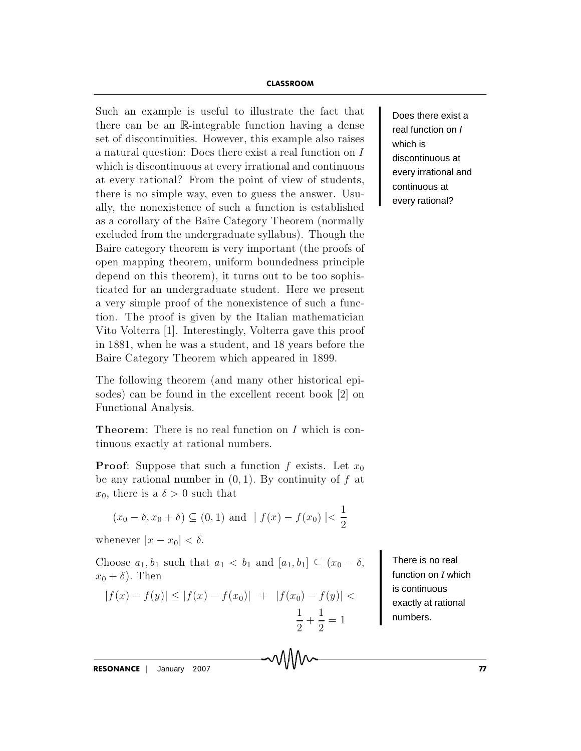## **CLASSROOM**

CLASSROOM<br>Such an example is useful to illustrate the fact that  $\begin{bmatrix} 1 \end{bmatrix}$ **CLASSROOM**<br>
Such an example is useful to illustrate the fact that  $\begin{bmatrix} 0 & 0 \\ 0 & 0 \\ 0 & 0 \\ 0 & 0 & 0 \\ 0 & 0 & 0 \\ 0 & 0 & 0 \\ 0 & 0 & 0 & 0 \\ 0 & 0 & 0 & 0 \\ 0 & 0 & 0 & 0 \\ 0 & 0 & 0 & 0 \\ 0 & 0 & 0 & 0 \\ 0 & 0 & 0 & 0 \\ 0 & 0 & 0 & 0 \\ 0 & 0 & 0 & 0 & 0 \\ 0 &$ **CLASSROOM**<br>Such an example is useful to illustrate the fact that<br>there can be an  $\mathbb{R}$ -integrable function having a dense<br>set of discontinuities. However, this example also raises **CLASSROOM**<br>Such an example is useful to illustrate the fact that<br>there can be an R-integrable function having a dense<br>set of discontinuities. However, this example also raises<br>a natural question: Does there exist a real f **CLASSROOM**<br>
Such an example is useful to illustrate the fact that<br>
there can be an  $\mathbb{R}$ -integrable function having a dense<br>
set of discontinuities. However, this example also raises<br>
a natural question: Does there ex Such an example is useful to illustrate the fact that<br>there can be an  $\mathbb{R}$ -integrable function having a dense<br>set of discontinuities. However, this example also raises<br>a natural question: Does there exist a real funct Such an example is useful to illustrate the fact that<br>there can be an R-integrable function having a dense<br>set of discontinuities. However, this example also raises<br>a natural question: Does there exist a real function on there can be an  $\mathbb R$ -integrable function having a dense<br>set of discontinuities. However, this example also raises<br>a natural question: Does there exist a real function on  $I$ <br>which is discontinuous at every irrational an set of discontinuities. However, this example also raises<br>a natural question: Does there exist a real function on  $I$ <br>which is discontinuous at every irrational and continuous<br>at every rational? From the point of view of s a natural question: Does there exist a real function on  $I$ <br>which is discontinuous at every irrational and continuous<br>at every rational? From the point of view of students,<br>there is no simple way, even to guess the answer which is discontinuous at every irrational and continuous<br>at every rational? From the point of view of students,<br>there is no simple way, even to guess the answer. Usu-<br>ally, the nonexistence of such a function is establis at every rational? From the point of view of students,<br>there is no simple way, even to guess the answer. Usu-<br>ally, the nonexistence of such a function is established<br>as a corollary of the Baire Category Theorem (normally at every rational? From the point of view of students, there is no simple way, even to guess the answer. Usually, the nonexistence of such a function is established as a corollary of the Baire Category Theorem (normally ex ally, the nonexistence of such a function is established<br>as a corollary of the Baire Category Theorem (normally<br>excluded from the undergraduate syllabus). Though the<br>Baire category theorem is very important (the proofs of as a corollary of the Baire Category Theorem (normally excluded from the undergraduate syllabus). Though the Baire category theorem is very important (the proofs of open mapping theorem, uniform boundedness principle depen excluded from the undergraduate syllabus). Though the<br>Baire category theorem is very important (the proofs of<br>open mapping theorem, uniform boundedness principle<br>depend on this theorem), it turns out to be too sophis-<br>tica Baire category theorem is very important (the proofs of<br>open mapping theorem, uniform boundedness principle<br>depend on this theorem), it turns out to be too sophis-<br>ticated for an undergraduate student. Here we present<br>a ve open mapping theorem, uniform boundedness principle<br>depend on this theorem), it turns out to be too sophis-<br>ticated for an undergraduate student. Here we present<br>a very simple proof of the nonexistence of such a func-<br>tion depend on this theorem), it turns out to be too sophis-<br>ticated for an undergraduate student. Here we present<br>a very simple proof of the nonexistence of such a func-<br>tion. The proof is given by the Italian mathematician<br>Vi ticated for an undergraduate student. Here we present<br>a very simple proof of the nonexistence of such a func-<br>tion. The proof is given by the Italian mathematician<br>Vito Volterra [1]. Interestingly, Volterra gave this proof a very simple proof of the honexistence of such a func-<br>tion. The proof is given by the Italian mathematician<br>Vito Volterra [1]. Interestingly, Volterra gave this proof<br>in 1881, when he was a student, and 18 years before t tion. The proof is given by<br>Vito Volterra [1]. Interestin<br>in 1881, when he was a stud<br>Baire Category Theorem w<br>The following theorem (an<br>sodes) can be found in the<br>Functional Analysis.

in 1881, when he was a student, and 18 years before the<br>Baire Category Theorem which appeared in 1899.<br>The following theorem (and many other historical epi-<br>sodes) can be found in the excellent recent book [2] on<br>Functiona Baire Category Theorem which appeared in 1899.<br>The following theorem (and many other historical episodes) can be found in the excellent recent book [2] on<br>Functional Analysis.<br>**Theorem**: There is no real function on  $I$  w The following theorem (and many other historical episodes) can be found in the excellent recent book [2] on Functional Analysis.<br>**Theorem**: There is no real function on *I* which is continuous exactly at rational numbers. sodes) can be found in the excellent recent book [2] on<br>Functional Analysis.<br>**Theorem**: There is no real function on *I* which is con-<br>tinuous exactly at rational numbers.<br>**Proof**: Suppose that such a function *f* exists.

Functional Analysis.<br> **Theorem**: There is no real function<br>
tinuous exactly at rational numbers<br> **Proof**: Suppose that such a functi<br>
be any rational number in  $(0, 1)$ . B<br>  $x_0$ , there is a  $\delta > 0$  such that **eorem**: There is no real function on *I* which is con-<br>
nous exactly at rational numbers.<br> **oof**: Suppose that such a function *f* exists. Let  $x_0$ <br>
any rational number in  $(0,1)$ . By continuity of *f* at<br>
there is a  $\$ **Proof:** Suppose that such a<br>be any rational number in (( $x_0$ , there is a  $\delta > 0$  such that<br> $(x_0 - \delta, x_0 + \delta) \subseteq (0, 1)$  a<br>whenever  $|x - x_0| < \delta$ . be any rational number in (0, 1). By continuity of f at<br>  $x_0$ , there is a  $\delta > 0$  such that<br>  $(x_0 - \delta, x_0 + \delta) \subseteq (0, 1)$  and  $| f(x) - f(x_0) | < \frac{1}{2}$ <br>
whenever  $|x - x_0| < \delta$ .<br>
Choose  $a_1, b_1$  such that  $a_1 < b_1$  and  $[a_1, b_1] \subseteq$ 

$$
(x_0 - \delta, x_0 + \delta) \subseteq (0, 1)
$$
 and  $| f(x) - f(x_0) | < \frac{1}{2}$ 

 $x_0$ , there is a  $\delta > 0$ <br>  $(x_0 - \delta, x_0 + \delta)$  (<br>
whenever  $|x - x_0| <$ <br>
Choose  $a_1, b_1$  such  $x_0 + \delta$ ). Then  $(x_0 - \delta, x_0 + \delta) \subseteq (0, 1) \text{ and } | f(x) - f(x_0) | < \frac{1}{2}$ <br>
henever  $|x - x_0| < \delta$ .<br>
hoose  $a_1, b_1$  such that  $a_1 < b_1$  and  $[a_1, b_1] \subseteq (x_0 - \delta,$ <br>  $|f(x) - f(y)| \leq |f(x) - f(x_0)| + |f(x_0) - f(y)| <$ 

whenever 
$$
|x - x_0| < \delta
$$
.

\n"hoose  $a_1, b_1$  such that  $a_1 < b_1$  and  $[a_1, b_1] \subseteq (x_0 - \delta)$ . Then

\n $|f(x) - f(y)| \leq |f(x) - f(x_0)| + |f(x_0) - f(y)| < \frac{1}{2} + \frac{1}{2} = 1$ 

Does there exist a real function on I which is discontinuous at every irrational and continuous at every rational?

There is no real function on *I* which is continuous exactly at rational numbers.

RESONANCE January <sup>2007</sup> <sup>77</sup>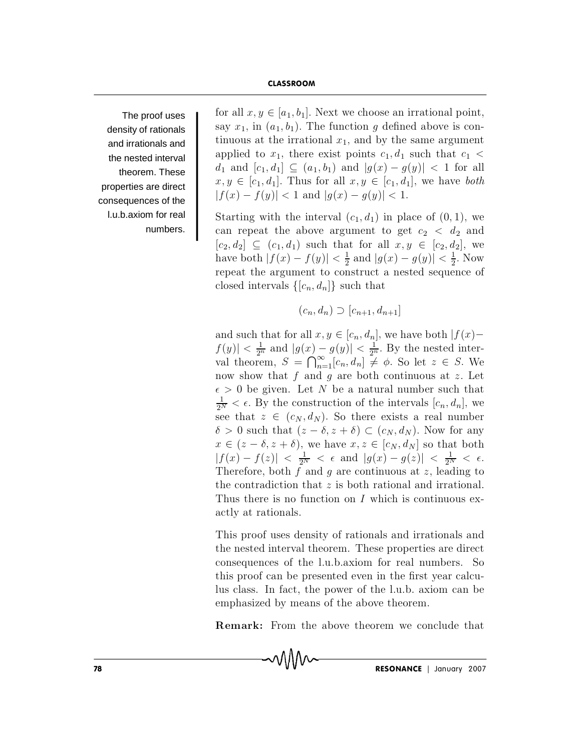The proof uses density of rationals and irrationals and the nested interval theorem. These properties are direct consequences of the I.u.b.axiom for real numbers. for all  $x, y \in [a_1, b_1]$ . Next we choose an irrational point, say  $x_1$ , in  $(a_1, b_1)$ . The function g defined above is continuous at the irrational  $x_1$ , and by the same argument applied to  $x_1$ , there exist points  $c_1, d_1$  such that  $c_1$  $d_1$  and  $[c_1, d_1] \subseteq (a_1, b_1)$  and  $|g(x) - g(y)| < 1$  for all  $x, y \in [c_1, d_1]$ . Thus for all  $x, y \in [c_1, d_1]$ , we have both  $|f(x) - f(y)| < 1$  and  $|g(x) - g(y)| < 1$ .

Starting with the interval  $(c_1, d_1)$  in place of  $(0, 1)$ , we can repeat the above argument to get  $c_2 < d_2$  and  $[c_2, d_2] \subseteq (c_1, d_1)$  such that for all  $x, y \in [c_2, d_2]$ , we have both  $|f(x) - f(y)| < \frac{1}{2}$  and  $|g(x) - g(y)| < \frac{1}{2}$ . Now repeat the argument to construct a nested sequence of closed intervals  $\{[c_n, d_n]\}\$  such that

$$
(c_n, d_n) \supset [c_{n+1}, d_{n+1}]
$$

and such that for all  $x, y \in [c_n, d_n]$ , we have both  $|f(x) |f(y)| < \frac{1}{2^n}$  and  $|g(x) - g(y)| < \frac{1}{2^n}$ . By the nested inter-<br>val theorem,  $S = \bigcap_{n=1}^{\infty} [c_n, d_n] \neq \phi$ . So let  $z \in S$ . We now show that f and g are both continuous at z. Let  $\epsilon > 0$  be given. Let N be a natural number such that  $\frac{1}{2^N} < \epsilon$ . By the construction of the intervals  $[c_n, d_n]$ , we see that  $z \in (c_N, d_N)$ . So there exists a real number  $\delta > 0$  such that  $(z - \delta, z + \delta) \subset (c_N, d_N)$ . Now for any  $x \in (z - \delta, z + \delta)$ , we have  $x, z \in [c_N, d_N]$  so that both  $|f(x) - f(z)| < \frac{1}{2N} < \epsilon$  and  $|g(x) - g(z)| < \frac{1}{2N} < \epsilon$ . Therefore, both  $f$  and  $g$  are continuous at  $z$ , leading to the contradiction that  $z$  is both rational and irrational. Thus there is no function on  $I$  which is continuous exactly at rationals.

This proof uses density of rationals and irrationals and the nested interval theorem. These properties are direct consequences of the l.u.b.axiom for real numbers. So this proof can be presented even in the first year calculus class. In fact, the power of the l.u.b. axiom can be emphasized by means of the above theorem.

**Remark:** From the above theorem we conclude that

MM